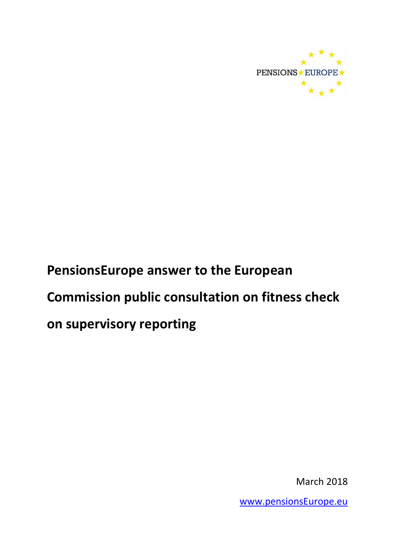

March 2018

[www.pensionsEurope.eu](http://www.pensionseurope.eu/)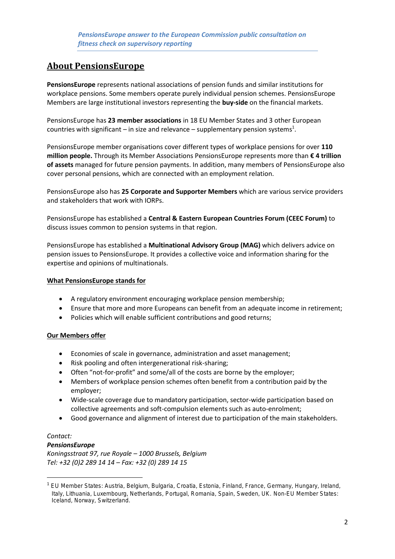# **About PensionsEurope**

**PensionsEurope** represents national associations of pension funds and similar institutions for workplace pensions. Some members operate purely individual pension schemes. PensionsEurope Members are large institutional investors representing the **buy-side** on the financial markets.

PensionsEurope has **23 member associations** in 18 EU Member States and 3 other European countries with significant – in size and relevance – supplementary pension systems<sup>1</sup>.

PensionsEurope member organisations cover different types of workplace pensions for over **110 million people.** Through its Member Associations PensionsEurope represents more than **€ 4 trillion of assets** managed for future pension payments. In addition, many members of PensionsEurope also cover personal pensions, which are connected with an employment relation.

PensionsEurope also has **25 Corporate and Supporter Members** which are various service providers and stakeholders that work with IORPs.

PensionsEurope has established a **Central & Eastern European Countries Forum (CEEC Forum)** to discuss issues common to pension systems in that region.

PensionsEurope has established a **Multinational Advisory Group (MAG)** which delivers advice on pension issues to PensionsEurope. It provides a collective voice and information sharing for the expertise and opinions of multinationals.

#### **What PensionsEurope stands for**

- A regulatory environment encouraging workplace pension membership;
- Ensure that more and more Europeans can benefit from an adequate income in retirement;
- Policies which will enable sufficient contributions and good returns;

# **Our Members offer**

- Economies of scale in governance, administration and asset management;
- Risk pooling and often intergenerational risk-sharing;
- Often "not-for-profit" and some/all of the costs are borne by the employer;
- Members of workplace pension schemes often benefit from a contribution paid by the employer;
- Wide-scale coverage due to mandatory participation, sector-wide participation based on collective agreements and soft-compulsion elements such as auto-enrolment;
- Good governance and alignment of interest due to participation of the main stakeholders.

# *Contact:*

**.** 

# *PensionsEurope*

*Koningsstraat 97, rue Royale – 1000 Brussels, Belgium Tel: +32 (0)2 289 14 14 – Fax: +32 (0) 289 14 15*

<sup>1</sup> EU Member States: Austria, Belgium, Bulgaria, Croatia, Estonia, Finland, France, Germany, Hungary, Ireland, Italy, Lithuania, Luxembourg, Netherlands, Portugal, Romania, Spain, Sweden, UK. Non-EU Member States: Iceland, Norway, Switzerland.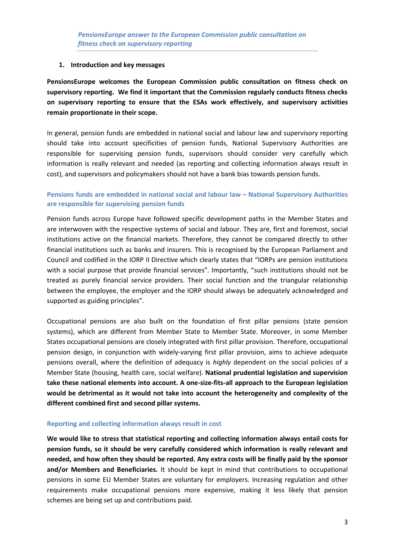#### **1. Introduction and key messages**

**PensionsEurope welcomes the European Commission public consultation on fitness check on supervisory reporting. We find it important that the Commission regularly conducts fitness checks on supervisory reporting to ensure that the ESAs work effectively, and supervisory activities remain proportionate in their scope.**

In general, pension funds are embedded in national social and labour law and supervisory reporting should take into account specificities of pension funds, National Supervisory Authorities are responsible for supervising pension funds, supervisors should consider very carefully which information is really relevant and needed (as reporting and collecting information always result in cost), and supervisors and policymakers should not have a bank bias towards pension funds.

# **Pensions funds are embedded in national social and labour law – National Supervisory Authorities are responsible for supervising pension funds**

Pension funds across Europe have followed specific development paths in the Member States and are interwoven with the respective systems of social and labour. They are, first and foremost, social institutions active on the financial markets. Therefore, they cannot be compared directly to other financial institutions such as banks and insurers. This is recognised by the European Parliament and Council and codified in the IORP II Directive which clearly states that "IORPs are pension institutions with a social purpose that provide financial services". Importantly, "such institutions should not be treated as purely financial service providers. Their social function and the triangular relationship between the employee, the employer and the IORP should always be adequately acknowledged and supported as guiding principles".

Occupational pensions are also built on the foundation of first pillar pensions (state pension systems), which are different from Member State to Member State. Moreover, in some Member States occupational pensions are closely integrated with first pillar provision. Therefore, occupational pension design, in conjunction with widely-varying first pillar provision, aims to achieve adequate pensions overall, where the definition of adequacy is *highly* dependent on the social policies of a Member State (housing, health care, social welfare). **National prudential legislation and supervision take these national elements into account. A one-size-fits-all approach to the European legislation would be detrimental as it would not take into account the heterogeneity and complexity of the different combined first and second pillar systems.**

#### **Reporting and collecting information always result in cost**

**We would like to stress that statistical reporting and collecting information always entail costs for pension funds, so it should be very carefully considered which information is really relevant and needed, and how often they should be reported. Any extra costs will be finally paid by the sponsor and/or Members and Beneficiaries.** It should be kept in mind that contributions to occupational pensions in some EU Member States are voluntary for employers. Increasing regulation and other requirements make occupational pensions more expensive, making it less likely that pension schemes are being set up and contributions paid.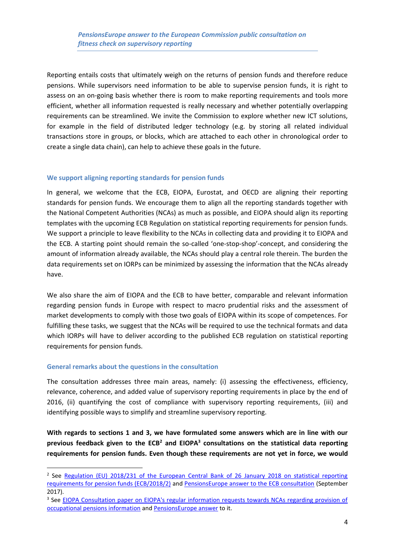Reporting entails costs that ultimately weigh on the returns of pension funds and therefore reduce pensions. While supervisors need information to be able to supervise pension funds, it is right to assess on an on-going basis whether there is room to make reporting requirements and tools more efficient, whether all information requested is really necessary and whether potentially overlapping requirements can be streamlined. We invite the Commission to explore whether new ICT solutions, for example in the field of distributed ledger technology (e.g. by storing all related individual transactions store in groups, or blocks, which are attached to each other in chronological order to create a single data chain), can help to achieve these goals in the future.

#### **We support aligning reporting standards for pension funds**

In general, we welcome that the ECB, EIOPA, Eurostat, and OECD are aligning their reporting standards for pension funds. We encourage them to align all the reporting standards together with the National Competent Authorities (NCAs) as much as possible, and EIOPA should align its reporting templates with the upcoming ECB Regulation on statistical reporting requirements for pension funds. We support a principle to leave flexibility to the NCAs in collecting data and providing it to EIOPA and the ECB. A starting point should remain the so-called 'one-stop-shop'-concept, and considering the amount of information already available, the NCAs should play a central role therein. The burden the data requirements set on IORPs can be minimized by assessing the information that the NCAs already have.

We also share the aim of EIOPA and the ECB to have better, comparable and relevant information regarding pension funds in Europe with respect to macro prudential risks and the assessment of market developments to comply with those two goals of EIOPA within its scope of competences. For fulfilling these tasks, we suggest that the NCAs will be required to use the technical formats and data which IORPs will have to deliver according to the published ECB regulation on statistical reporting requirements for pension funds.

#### **General remarks about the questions in the consultation**

**.** 

The consultation addresses three main areas, namely: (i) assessing the effectiveness, efficiency, relevance, coherence, and added value of supervisory reporting requirements in place by the end of 2016, (ii) quantifying the cost of compliance with supervisory reporting requirements, (iii) and identifying possible ways to simplify and streamline supervisory reporting.

**With regards to sections 1 and 3, we have formulated some answers which are in line with our previous feedback given to the ECB<sup>2</sup> and EIOPA<sup>3</sup> consultations on the statistical data reporting requirements for pension funds. Even though these requirements are not yet in force, we would** 

<sup>&</sup>lt;sup>2</sup> See Regulation (EU) 2018/231 of the European Central Bank of 26 January 2018 on statistical reporting [requirements for pension funds \(ECB/2018/2\)](http://eur-lex.europa.eu/legal-content/EN/TXT/?uri=CELEX:32018R0231) and [PensionsEurope answer to the ECB consultation](https://www.pensionseurope.eu/system/files/PensionsEurope%20answer%20to%20the%20ECB%20consultation%20-%20FINAL%20-%202017-09-29.pdf) (September 2017).

<sup>&</sup>lt;sup>3</sup> See EIOPA Consultation paper on EIOPA's regular information requests towards NCAs regarding provision of [occupational pensions information](https://eiopa.europa.eu/Pages/Consultations/EIOPA-CP-17-005-Consultation-paper-on-EIOPA%27s-regular-information-requests-towards-NCAs-regarding-provision-of-occupational.aspx) and [PensionsEurope answer](https://www.pensionseurope.eu/pensionseurope-answer-consultation-eiopas-information-requests-pension-funds-0) to it.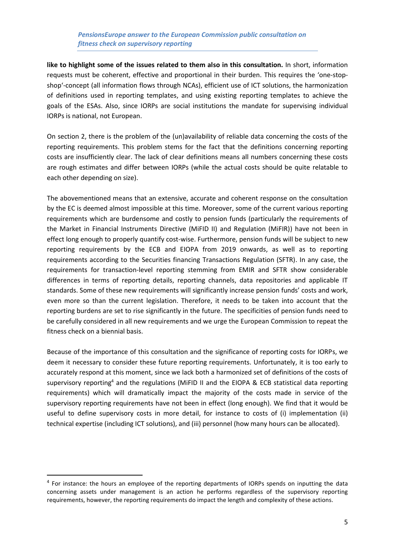**like to highlight some of the issues related to them also in this consultation.** In short, information requests must be coherent, effective and proportional in their burden. This requires the 'one-stopshop'-concept (all information flows through NCAs), efficient use of ICT solutions, the harmonization of definitions used in reporting templates, and using existing reporting templates to achieve the goals of the ESAs. Also, since IORPs are social institutions the mandate for supervising individual IORPs is national, not European.

On section 2, there is the problem of the (un)availability of reliable data concerning the costs of the reporting requirements. This problem stems for the fact that the definitions concerning reporting costs are insufficiently clear. The lack of clear definitions means all numbers concerning these costs are rough estimates and differ between IORPs (while the actual costs should be quite relatable to each other depending on size).

The abovementioned means that an extensive, accurate and coherent response on the consultation by the EC is deemed almost impossible at this time. Moreover, some of the current various reporting requirements which are burdensome and costly to pension funds (particularly the requirements of the Market in Financial Instruments Directive (MiFID II) and Regulation (MiFIR)) have not been in effect long enough to properly quantify cost-wise. Furthermore, pension funds will be subject to new reporting requirements by the ECB and EIOPA from 2019 onwards, as well as to reporting requirements according to the Securities financing Transactions Regulation (SFTR). In any case, the requirements for transaction-level reporting stemming from EMIR and SFTR show considerable differences in terms of reporting details, reporting channels, data repositories and applicable IT standards. Some of these new requirements will significantly increase pension funds' costs and work, even more so than the current legislation. Therefore, it needs to be taken into account that the reporting burdens are set to rise significantly in the future. The specificities of pension funds need to be carefully considered in all new requirements and we urge the European Commission to repeat the fitness check on a biennial basis.

Because of the importance of this consultation and the significance of reporting costs for IORPs, we deem it necessary to consider these future reporting requirements. Unfortunately, it is too early to accurately respond at this moment, since we lack both a harmonized set of definitions of the costs of supervisory reporting<sup>4</sup> and the regulations (MiFID II and the EIOPA & ECB statistical data reporting requirements) which will dramatically impact the majority of the costs made in service of the supervisory reporting requirements have not been in effect (long enough). We find that it would be useful to define supervisory costs in more detail, for instance to costs of (i) implementation (ii) technical expertise (including ICT solutions), and (iii) personnel (how many hours can be allocated).

**.** 

<sup>&</sup>lt;sup>4</sup> For instance: the hours an employee of the reporting departments of IORPs spends on inputting the data concerning assets under management is an action he performs regardless of the supervisory reporting requirements, however, the reporting requirements do impact the length and complexity of these actions.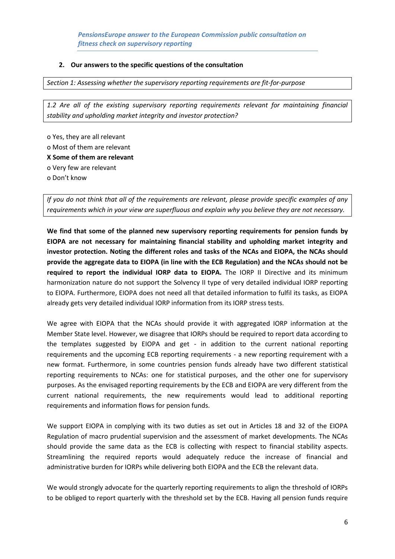#### **2. Our answers to the specific questions of the consultation**

*Section 1: Assessing whether the supervisory reporting requirements are fit-for-purpose*

*1.2 Are all of the existing supervisory reporting requirements relevant for maintaining financial stability and upholding market integrity and investor protection?*

o Yes, they are all relevant o Most of them are relevant **X Some of them are relevant** o Very few are relevant o Don't know

*If you do not think that all of the requirements are relevant, please provide specific examples of any requirements which in your view are superfluous and explain why you believe they are not necessary.*

**We find that some of the planned new supervisory reporting requirements for pension funds by EIOPA are not necessary for maintaining financial stability and upholding market integrity and investor protection. Noting the different roles and tasks of the NCAs and EIOPA, the NCAs should provide the aggregate data to EIOPA (in line with the ECB Regulation) and the NCAs should not be required to report the individual IORP data to EIOPA.** The IORP II Directive and its minimum harmonization nature do not support the Solvency II type of very detailed individual IORP reporting to EIOPA. Furthermore, EIOPA does not need all that detailed information to fulfil its tasks, as EIOPA already gets very detailed individual IORP information from its IORP stress tests.

We agree with EIOPA that the NCAs should provide it with aggregated IORP information at the Member State level. However, we disagree that IORPs should be required to report data according to the templates suggested by EIOPA and get - in addition to the current national reporting requirements and the upcoming ECB reporting requirements - a new reporting requirement with a new format. Furthermore, in some countries pension funds already have two different statistical reporting requirements to NCAs: one for statistical purposes, and the other one for supervisory purposes. As the envisaged reporting requirements by the ECB and EIOPA are very different from the current national requirements, the new requirements would lead to additional reporting requirements and information flows for pension funds.

We support EIOPA in complying with its two duties as set out in Articles 18 and 32 of the EIOPA Regulation of macro prudential supervision and the assessment of market developments. The NCAs should provide the same data as the ECB is collecting with respect to financial stability aspects. Streamlining the required reports would adequately reduce the increase of financial and administrative burden for IORPs while delivering both EIOPA and the ECB the relevant data.

We would strongly advocate for the quarterly reporting requirements to align the threshold of IORPs to be obliged to report quarterly with the threshold set by the ECB. Having all pension funds require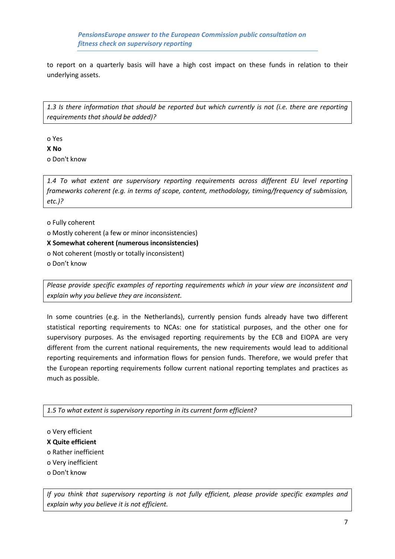to report on a quarterly basis will have a high cost impact on these funds in relation to their underlying assets.

*1.3 Is there information that should be reported but which currently is not (i.e. there are reporting requirements that should be added)?*

o Yes

**X No** o Don't know

*1.4 To what extent are supervisory reporting requirements across different EU level reporting frameworks coherent (e.g. in terms of scope, content, methodology, timing/frequency of submission, etc.)?*

o Fully coherent

o Mostly coherent (a few or minor inconsistencies)

**X Somewhat coherent (numerous inconsistencies)**

o Not coherent (mostly or totally inconsistent)

o Don't know

*Please provide specific examples of reporting requirements which in your view are inconsistent and explain why you believe they are inconsistent.*

In some countries (e.g. in the Netherlands), currently pension funds already have two different statistical reporting requirements to NCAs: one for statistical purposes, and the other one for supervisory purposes. As the envisaged reporting requirements by the ECB and EIOPA are very different from the current national requirements, the new requirements would lead to additional reporting requirements and information flows for pension funds. Therefore, we would prefer that the European reporting requirements follow current national reporting templates and practices as much as possible.

*1.5 To what extent is supervisory reporting in its current form efficient?*

o Very efficient

**X Quite efficient**

o Rather inefficient

o Very inefficient

o Don't know

*If you think that supervisory reporting is not fully efficient, please provide specific examples and explain why you believe it is not efficient.*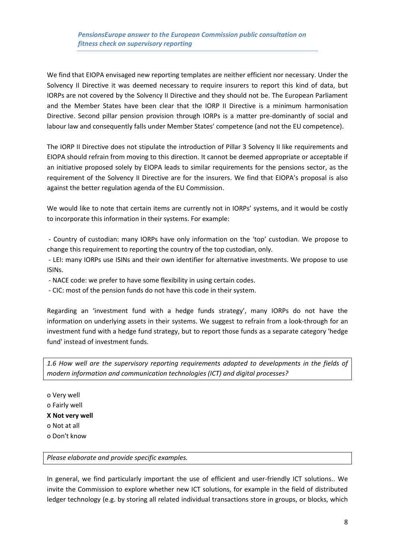We find that EIOPA envisaged new reporting templates are neither efficient nor necessary. Under the Solvency II Directive it was deemed necessary to require insurers to report this kind of data, but IORPs are not covered by the Solvency II Directive and they should not be. The European Parliament and the Member States have been clear that the IORP II Directive is a minimum harmonisation Directive. Second pillar pension provision through IORPs is a matter pre-dominantly of social and labour law and consequently falls under Member States' competence (and not the EU competence).

The IORP II Directive does not stipulate the introduction of Pillar 3 Solvency II like requirements and EIOPA should refrain from moving to this direction. It cannot be deemed appropriate or acceptable if an initiative proposed solely by EIOPA leads to similar requirements for the pensions sector, as the requirement of the Solvency II Directive are for the insurers. We find that EIOPA's proposal is also against the better regulation agenda of the EU Commission.

We would like to note that certain items are currently not in IORPs' systems, and it would be costly to incorporate this information in their systems. For example:

- Country of custodian: many IORPs have only information on the 'top' custodian. We propose to change this requirement to reporting the country of the top custodian, only.

- LEI: many IORPs use ISINs and their own identifier for alternative investments. We propose to use ISINs.

- NACE code: we prefer to have some flexibility in using certain codes.

- CIC: most of the pension funds do not have this code in their system.

Regarding an 'investment fund with a hedge funds strategy', many IORPs do not have the information on underlying assets in their systems. We suggest to refrain from a look-through for an investment fund with a hedge fund strategy, but to report those funds as a separate category 'hedge fund' instead of investment funds.

*1.6 How well are the supervisory reporting requirements adapted to developments in the fields of modern information and communication technologies (ICT) and digital processes?*

o Very well o Fairly well **X Not very well** o Not at all o Don't know

*Please elaborate and provide specific examples.*

In general, we find particularly important the use of efficient and user-friendly ICT solutions.. We invite the Commission to explore whether new ICT solutions, for example in the field of distributed ledger technology (e.g. by storing all related individual transactions store in groups, or blocks, which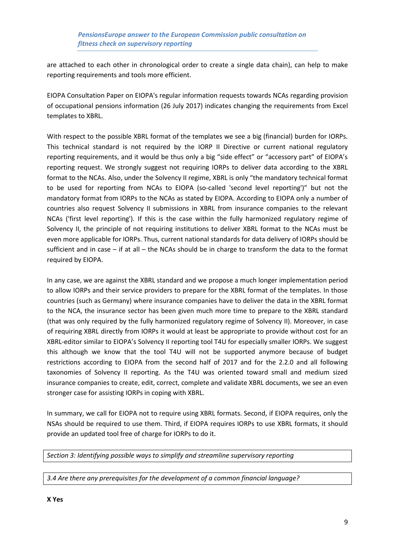are attached to each other in chronological order to create a single data chain), can help to make reporting requirements and tools more efficient.

EIOPA Consultation Paper on EIOPA's regular information requests towards NCAs regarding provision of occupational pensions information (26 July 2017) indicates changing the requirements from Excel templates to XBRL.

With respect to the possible XBRL format of the templates we see a big (financial) burden for IORPs. This technical standard is not required by the IORP II Directive or current national regulatory reporting requirements, and it would be thus only a big "side effect" or "accessory part" of EIOPA's reporting request. We strongly suggest not requiring IORPs to deliver data according to the XBRL format to the NCAs. Also, under the Solvency II regime, XBRL is only "the mandatory technical format to be used for reporting from NCAs to EIOPA (so-called 'second level reporting')" but not the mandatory format from IORPs to the NCAs as stated by EIOPA. According to EIOPA only a number of countries also request Solvency II submissions in XBRL from insurance companies to the relevant NCAs ('first level reporting'). If this is the case within the fully harmonized regulatory regime of Solvency II, the principle of not requiring institutions to deliver XBRL format to the NCAs must be even more applicable for IORPs. Thus, current national standards for data delivery of IORPs should be sufficient and in case – if at all – the NCAs should be in charge to transform the data to the format required by EIOPA.

In any case, we are against the XBRL standard and we propose a much longer implementation period to allow IORPs and their service providers to prepare for the XBRL format of the templates. In those countries (such as Germany) where insurance companies have to deliver the data in the XBRL format to the NCA, the insurance sector has been given much more time to prepare to the XBRL standard (that was only required by the fully harmonized regulatory regime of Solvency II). Moreover, in case of requiring XBRL directly from IORPs it would at least be appropriate to provide without cost for an XBRL-editor similar to EIOPA's Solvency II reporting tool T4U for especially smaller IORPs. We suggest this although we know that the tool T4U will not be supported anymore because of budget restrictions according to EIOPA from the second half of 2017 and for the 2.2.0 and all following taxonomies of Solvency II reporting. As the T4U was oriented toward small and medium sized insurance companies to create, edit, correct, complete and validate XBRL documents, we see an even stronger case for assisting IORPs in coping with XBRL.

In summary, we call for EIOPA not to require using XBRL formats. Second, if EIOPA requires, only the NSAs should be required to use them. Third, if EIOPA requires IORPs to use XBRL formats, it should provide an updated tool free of charge for IORPs to do it.

*Section 3: Identifying possible ways to simplify and streamline supervisory reporting*

*3.4 Are there any prerequisites for the development of a common financial language?*

**X Yes**